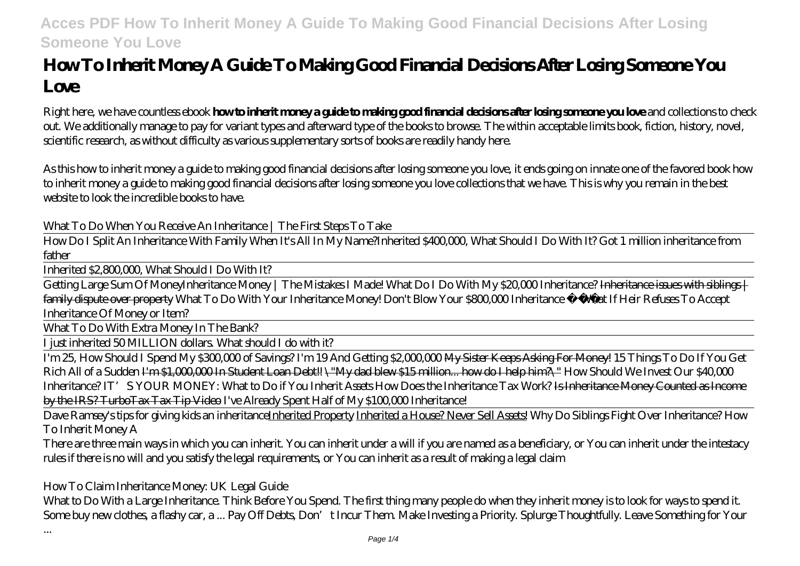# **How To Inherit Money A Guide To Making Good Financial Decisions After Losing Someone You Love**

Right here, we have countless ebook **how to inherit money a guide to making good financial decisions after losing someone you love** and collections to check out. We additionally manage to pay for variant types and afterward type of the books to browse. The within acceptable limits book, fiction, history, novel, scientific research, as without difficulty as various supplementary sorts of books are readily handy here.

As this how to inherit money a guide to making good financial decisions after losing someone you love, it ends going on innate one of the favored book how to inherit money a guide to making good financial decisions after losing someone you love collections that we have. This is why you remain in the best website to look the incredible books to have.

*What To Do When You Receive An Inheritance | The First Steps To Take*

How Do I Split An Inheritance With Family When It's All In My Name?*Inherited \$400,000, What Should I Do With It? Got 1 million inheritance from father*

Inherited \$2,800,000, What Should I Do With It?

Getting Large Sum Of Money*Inheritance Money | The Mistakes I Made!* What Do I Do With My \$20,000 Inheritance? Inheritance issues with siblings | family dispute over property *What To Do With Your Inheritance Money! Don't Blow Your \$800,000 Inheritance*  What If Heir Refuses To Accept Inheritance Of Money or Item?

What To Do With Extra Money In The Bank?

I just inherited 50 MILLION dollars. What should I do with it?

I'm 25, How Should I Spend My \$300,000 of Savings? I'm 19 And Getting \$2,000,000 My Sister Keeps Asking For Money! 15 Things To Do If You Get Rich All of a Sudden I'm \$1,000,000 In Student Loan Debt!! \"My dad blew \$15 million... how do I help him?\" *How Should We Invest Our \$40,000 Inheritance?IT'* S YOUR MONEY: What to Do if You Inherit Assets How Does the Inheritance Tax Work? I<del>s Inheritance Money Counted as Income</del> by the IRS? TurboTax Tax Tip Video *I've Already Spent Half of My \$100,000 Inheritance!*

Dave Ramsey's tips for giving kids an inheritanceInherited Property Inherited a House? Never Sell Assets! *Why Do Siblings Fight Over Inheritance? How To Inherit Money A*

There are three main ways in which you can inherit. You can inherit under a will if you are named as a beneficiary, or You can inherit under the intestacy rules if there is no will and you satisfy the legal requirements, or You can inherit as a result of making a legal claim

### *How To Claim Inheritance Money: UK Legal Guide*

What to Do With a Large Inheritance. Think Before You Spend. The first thing many people do when they inherit money is to look for ways to spend it. Some buy new dothes, a flashy car, a ... Pay Off Debts, Don't Incur Them. Make Investing a Priority. Splurge Thoughtfully. Leave Something for Your

...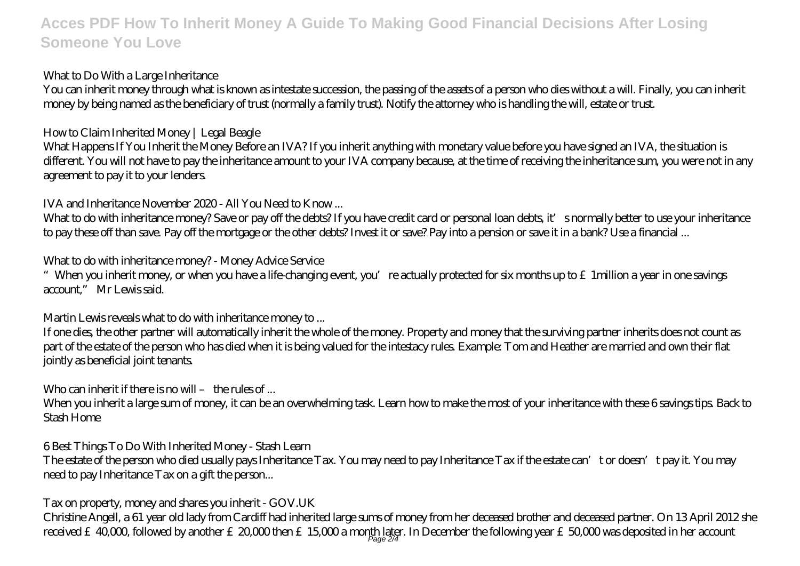### *What to Do With a Large Inheritance*

You can inherit money through what is known as intestate succession, the passing of the assets of a person who dies without a will. Finally, you can inherit money by being named as the beneficiary of trust (normally a family trust). Notify the attorney who is handling the will, estate or trust.

### *How to Claim Inherited Money | Legal Beagle*

What Happens If You Inherit the Money Before an IVA? If you inherit anything with monetary value before you have signed an IVA, the situation is different. You will not have to pay the inheritance amount to your IVA company because, at the time of receiving the inheritance sum, you were not in any agreement to pay it to your lenders.

### *IVA and Inheritance November 2020 - All You Need to Know ...*

What to do with inheritance money? Save or pay off the debts? If you have credit card or personal loan debts, it' snormally better to use your inheritance to pay these off than save. Pay off the mortgage or the other debts? Invest it or save? Pay into a pension or save it in a bank? Use a financial ...

### *What to do with inheritance money? - Money Advice Service*

"When you inherit money, or when you have a life-changing event, you're actually protected for six months up to  $\epsilon$  1 million a year in one savings account," Mr Lewis said.

### *Martin Lewis reveals what to do with inheritance money to ...*

If one dies, the other partner will automatically inherit the whole of the money. Property and money that the surviving partner inherits does not count as part of the estate of the person who has died when it is being valued for the intestacy rules. Example: Tom and Heather are married and own their flat jointly as beneficial joint tenants.

### *Who can inherit if there is no will – the rules of ...*

When you inherit a large sum of money, it can be an overwhelming task. Learn how to make the most of your inheritance with these 6 savings tips. Back to Stash Home

### *6 Best Things To Do With Inherited Money - Stash Learn*

The estate of the person who died usually pays Inheritance Tax. You may need to pay Inheritance Tax if the estate can't or doesn't pay it. You may need to pay Inheritance Tax on a gift the person...

### *Tax on property, money and shares you inherit - GOV.UK*

Christine Angell, a 61 year old lady from Cardiff had inherited large sums of money from her deceased brother and deceased partner. On 13 April 2012 she received £40,000, followed by another £20,000 then £15,000 a month later. In December the following year £50,000 was deposited in her account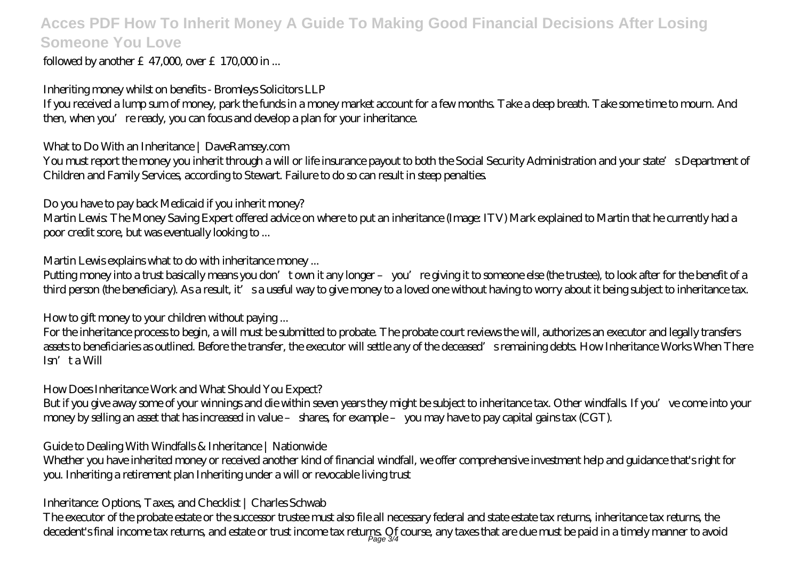followed by another  $£47,000$  over  $£170,000$  in ...

### *Inheriting money whilst on benefits - Bromleys Solicitors LLP*

If you received a lump sum of money, park the funds in a money market account for a few months. Take a deep breath. Take some time to mourn. And then, when you're ready, you can focus and develop a plan for your inheritance.

### *What to Do With an Inheritance | DaveRamsey.com*

You must report the money you inherit through a will or life insurance payout to both the Social Security Administration and your state's Department of Children and Family Services, according to Stewart. Failure to do so can result in steep penalties.

### *Do you have to pay back Medicaid if you inherit money?*

Martin Lewis: The Money Saving Expert offered advice on where to put an inheritance (Image: ITV) Mark explained to Martin that he currently had a poor credit score, but was eventually looking to ...

### *Martin Lewis explains what to do with inheritance money ...*

Putting money into a trust basically means you don't own it any longer – you're giving it to someone else (the trustee), to look after for the benefit of a third person (the beneficiary). As a result, it's a useful way to give money to a loved one without having to worry about it being subject to inheritance tax.

#### *How to gift money to your children without paying ...*

For the inheritance process to begin, a will must be submitted to probate. The probate court reviews the will, authorizes an executor and legally transfers assets to beneficiaries as outlined. Before the transfer, the executor will settle any of the deceased's remaining debts. How Inheritance Works When There Isn't a Will

### *How Does Inheritance Work and What Should You Expect?*

But if you give away some of your winnings and die within seven years they might be subject to inheritance tax. Other windfalls. If you've come into your money by selling an asset that has increased in value – shares, for example – you may have to pay capital gains tax (CGT).

### *Guide to Dealing With Windfalls & Inheritance | Nationwide*

Whether you have inherited money or received another kind of financial windfall, we offer comprehensive investment help and guidance that's right for you. Inheriting a retirement plan Inheriting under a will or revocable living trust

### *Inheritance: Options, Taxes, and Checklist | Charles Schwab*

The executor of the probate estate or the successor trustee must also file all necessary federal and state estate tax returns, inheritance tax returns, the decedent's final income tax returns, and estate or trust income tax returps. Of course, any taxes that are due must be paid in a timely manner to avoid